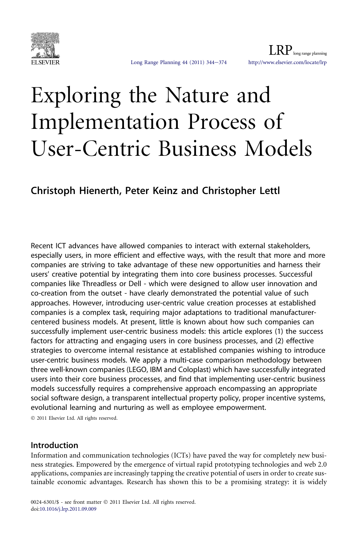

[Long Range Planning 44 \(2011\) 344](http://dx.doi.org/10.1016/j.lrp.2011.09.009)-[374](http://dx.doi.org/10.1016/j.lrp.2011.09.009) <http://www.elsevier.com/locate/lrp>

## Exploring the Nature and Implementation Process of User-Centric Business Models

## Christoph Hienerth, Peter Keinz and Christopher Lettl

Recent ICT advances have allowed companies to interact with external stakeholders, especially users, in more efficient and effective ways, with the result that more and more companies are striving to take advantage of these new opportunities and harness their users' creative potential by integrating them into core business processes. Successful companies like Threadless or Dell - which were designed to allow user innovation and co-creation from the outset - have clearly demonstrated the potential value of such approaches. However, introducing user-centric value creation processes at established companies is a complex task, requiring major adaptations to traditional manufacturercentered business models. At present, little is known about how such companies can successfully implement user-centric business models: this article explores (1) the success factors for attracting and engaging users in core business processes, and (2) effective strategies to overcome internal resistance at established companies wishing to introduce user-centric business models. We apply a multi-case comparison methodology between three well-known companies (LEGO, IBM and Coloplast) which have successfully integrated users into their core business processes, and find that implementing user-centric business models successfully requires a comprehensive approach encompassing an appropriate social software design, a transparent intellectual property policy, proper incentive systems, evolutional learning and nurturing as well as employee empowerment.

2011 Elsevier Ltd. All rights reserved.

## Introduction

Information and communication technologies (ICTs) have paved the way for completely new business strategies. Empowered by the emergence of virtual rapid prototyping technologies and web 2.0 applications, companies are increasingly tapping the creative potential of users in order to create sustainable economic advantages. Research has shown this to be a promising strategy: it is widely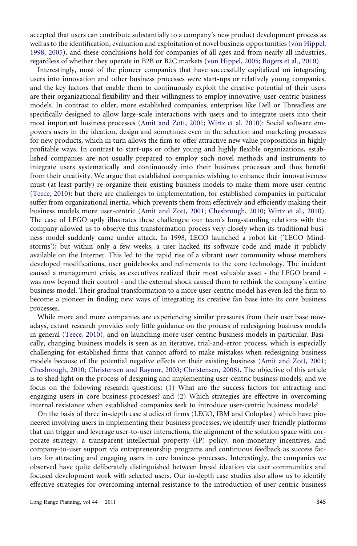accepted that users can contribute substantially to a company's new product development process as well as to the identification, evaluation and exploitation of novel business opportunities [\(von Hippel,](#page--1-0) [1998, 2005\)](#page--1-0), and these conclusions hold for companies of all ages and from nearly all industries, regardless of whether they operate in B2B or B2C markets ([von Hippel, 2005; Bogers et al., 2010](#page--1-0)).

Interestingly, most of the pioneer companies that have successfully capitalized on integrating users into innovation and other business processes were start-ups or relatively young companies, and the key factors that enable them to continuously exploit the creative potential of their users are their organizational flexibility and their willingness to employ innovative, user-centric business models. In contrast to older, more established companies, enterprises like Dell or Threadless are specifically designed to allow large-scale interactions with users and to integrate users into their most important business processes [\(Amit and Zott, 2001; Wirtz et al. 2010\)](#page--1-0): Social software empowers users in the ideation, design and sometimes even in the selection and marketing processes for new products, which in turn allows the firm to offer attractive new value propositions in highly profitable ways. In contrast to start-ups or other young and highly flexible organizations, established companies are not usually prepared to employ such novel methods and instruments to integrate users systematically and continuously into their business processes and thus benefit from their creativity. We argue that established companies wishing to enhance their innovativeness must (at least partly) re-organize their existing business models to make them more user-centric [\(Teece, 2010\)](#page--1-0): but there are challenges to implementation, for established companies in particular suffer from organizational inertia, which prevents them from effectively and efficiently making their business models more user-centric [\(Amit and Zott, 2001; Chesbrough, 2010; Wirtz et al., 2010\)](#page--1-0). The case of LEGO aptly illustrates these challenges: our team's long-standing relations with the company allowed us to observe this transformation process very closely when its traditional business model suddenly came under attack. In 1998, LEGO launched a robot kit ('LEGO Mindstorms'); but within only a few weeks, a user hacked its software code and made it publicly available on the Internet. This led to the rapid rise of a vibrant user community whose members developed modifications, user guidebooks and refinements to the core technology. The incident caused a management crisis, as executives realized their most valuable asset - the LEGO brand was now beyond their control - and the external shock caused them to rethink the company's entire business model. Their gradual transformation to a more user-centric model has even led the firm to become a pioneer in finding new ways of integrating its creative fan base into its core business processes.

While more and more companies are experiencing similar pressures from their user base nowadays, extant research provides only little guidance on the process of redesigning business models in general ([Teece, 2010\)](#page--1-0), and on launching more user-centric business models in particular. Basically, changing business models is seen as an iterative, trial-and-error process, which is especially challenging for established firms that cannot afford to make mistakes when redesigning business models because of the potential negative effects on their existing business ([Amit and Zott, 2001;](#page--1-0) [Chesbrough, 2010; Christensen and Raynor, 2003; Christensen, 2006](#page--1-0)). The objective of this article is to shed light on the process of designing and implementing user-centric business models, and we focus on the following research questions: (1) What are the success factors for attracting and engaging users in core business processes? and (2) Which strategies are effective in overcoming internal resistance when established companies seek to introduce user-centric business models?

On the basis of three in-depth case studies of firms (LEGO, IBM and Coloplast) which have pioneered involving users in implementing their business processes, we identify user-friendly platforms that can trigger and leverage user-to-user interactions, the alignment of the solution space with corporate strategy, a transparent intellectual property (IP) policy, non-monetary incentives, and company-to-user support via entrepreneurship programs and continuous feedback as success factors for attracting and engaging users in core business processes. Interestingly, the companies we observed have quite deliberately distinguished between broad ideation via user communities and focused development work with selected users. Our in-depth case studies also allow us to identify effective strategies for overcoming internal resistance to the introduction of user-centric business